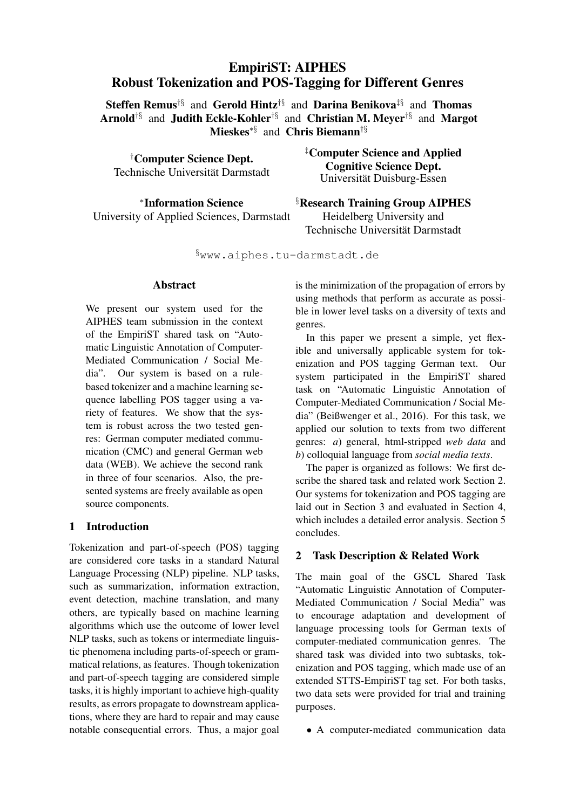# EmpiriST: AIPHES Robust Tokenization and POS-Tagging for Different Genres

Steffen Remus<sup>†§</sup> and Gerold Hintz<sup>†§</sup> and Darina Benikova<sup>‡§</sup> and Thomas Arnold†§ and Judith Eckle-Kohler†§ and Christian M. Meyer†§ and Margot Mieskes∗§ and Chris Biemann†§

†Computer Science Dept. Technische Universität Darmstadt

∗ Information Science University of Applied Sciences, Darmstadt ‡Computer Science and Applied Cognitive Science Dept. Universität Duisburg-Essen

§Research Training Group AIPHES Heidelberg University and Technische Universität Darmstadt

§www.aiphes.tu-darmstadt.de

#### Abstract

We present our system used for the AIPHES team submission in the context of the EmpiriST shared task on "Automatic Linguistic Annotation of Computer-Mediated Communication / Social Media". Our system is based on a rulebased tokenizer and a machine learning sequence labelling POS tagger using a variety of features. We show that the system is robust across the two tested genres: German computer mediated communication (CMC) and general German web data (WEB). We achieve the second rank in three of four scenarios. Also, the presented systems are freely available as open source components.

# 1 Introduction

Tokenization and part-of-speech (POS) tagging are considered core tasks in a standard Natural Language Processing (NLP) pipeline. NLP tasks, such as summarization, information extraction, event detection, machine translation, and many others, are typically based on machine learning algorithms which use the outcome of lower level NLP tasks, such as tokens or intermediate linguistic phenomena including parts-of-speech or grammatical relations, as features. Though tokenization and part-of-speech tagging are considered simple tasks, it is highly important to achieve high-quality results, as errors propagate to downstream applications, where they are hard to repair and may cause notable consequential errors. Thus, a major goal is the minimization of the propagation of errors by using methods that perform as accurate as possible in lower level tasks on a diversity of texts and genres.

In this paper we present a simple, yet flexible and universally applicable system for tokenization and POS tagging German text. Our system participated in the EmpiriST shared task on "Automatic Linguistic Annotation of Computer-Mediated Communication / Social Media" (Beißwenger et al., 2016). For this task, we applied our solution to texts from two different genres: *a*) general, html-stripped *web data* and *b*) colloquial language from *social media texts*.

The paper is organized as follows: We first describe the shared task and related work Section 2. Our systems for tokenization and POS tagging are laid out in Section 3 and evaluated in Section 4, which includes a detailed error analysis. Section 5 concludes.

# 2 Task Description & Related Work

The main goal of the GSCL Shared Task "Automatic Linguistic Annotation of Computer-Mediated Communication / Social Media" was to encourage adaptation and development of language processing tools for German texts of computer-mediated communication genres. The shared task was divided into two subtasks, tokenization and POS tagging, which made use of an extended STTS-EmpiriST tag set. For both tasks, two data sets were provided for trial and training purposes.

• A computer-mediated communication data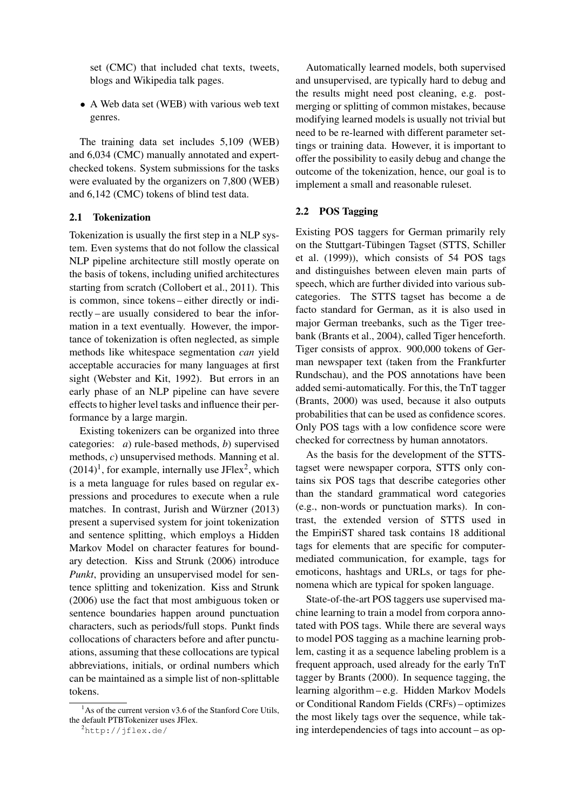set (CMC) that included chat texts, tweets, blogs and Wikipedia talk pages.

• A Web data set (WEB) with various web text genres.

The training data set includes 5,109 (WEB) and 6,034 (CMC) manually annotated and expertchecked tokens. System submissions for the tasks were evaluated by the organizers on 7,800 (WEB) and 6,142 (CMC) tokens of blind test data.

#### 2.1 Tokenization

Tokenization is usually the first step in a NLP system. Even systems that do not follow the classical NLP pipeline architecture still mostly operate on the basis of tokens, including unified architectures starting from scratch (Collobert et al., 2011). This is common, since tokens – either directly or indirectly – are usually considered to bear the information in a text eventually. However, the importance of tokenization is often neglected, as simple methods like whitespace segmentation *can* yield acceptable accuracies for many languages at first sight (Webster and Kit, 1992). But errors in an early phase of an NLP pipeline can have severe effects to higher level tasks and influence their performance by a large margin.

Existing tokenizers can be organized into three categories: *a*) rule-based methods, *b*) supervised methods, *c*) unsupervised methods. Manning et al.  $(2014)^1$ , for example, internally use JFlex<sup>2</sup>, which is a meta language for rules based on regular expressions and procedures to execute when a rule matches. In contrast, Jurish and Würzner (2013) present a supervised system for joint tokenization and sentence splitting, which employs a Hidden Markov Model on character features for boundary detection. Kiss and Strunk (2006) introduce *Punkt*, providing an unsupervised model for sentence splitting and tokenization. Kiss and Strunk (2006) use the fact that most ambiguous token or sentence boundaries happen around punctuation characters, such as periods/full stops. Punkt finds collocations of characters before and after punctuations, assuming that these collocations are typical abbreviations, initials, or ordinal numbers which can be maintained as a simple list of non-splittable tokens.

Automatically learned models, both supervised and unsupervised, are typically hard to debug and the results might need post cleaning, e.g. postmerging or splitting of common mistakes, because modifying learned models is usually not trivial but need to be re-learned with different parameter settings or training data. However, it is important to offer the possibility to easily debug and change the outcome of the tokenization, hence, our goal is to implement a small and reasonable ruleset.

#### 2.2 POS Tagging

Existing POS taggers for German primarily rely on the Stuttgart-Tübingen Tagset (STTS, Schiller et al. (1999)), which consists of 54 POS tags and distinguishes between eleven main parts of speech, which are further divided into various subcategories. The STTS tagset has become a de facto standard for German, as it is also used in major German treebanks, such as the Tiger treebank (Brants et al., 2004), called Tiger henceforth. Tiger consists of approx. 900,000 tokens of German newspaper text (taken from the Frankfurter Rundschau), and the POS annotations have been added semi-automatically. For this, the TnT tagger (Brants, 2000) was used, because it also outputs probabilities that can be used as confidence scores. Only POS tags with a low confidence score were checked for correctness by human annotators.

As the basis for the development of the STTStagset were newspaper corpora, STTS only contains six POS tags that describe categories other than the standard grammatical word categories (e.g., non-words or punctuation marks). In contrast, the extended version of STTS used in the EmpiriST shared task contains 18 additional tags for elements that are specific for computermediated communication, for example, tags for emoticons, hashtags and URLs, or tags for phenomena which are typical for spoken language.

State-of-the-art POS taggers use supervised machine learning to train a model from corpora annotated with POS tags. While there are several ways to model POS tagging as a machine learning problem, casting it as a sequence labeling problem is a frequent approach, used already for the early TnT tagger by Brants (2000). In sequence tagging, the learning algorithm – e.g. Hidden Markov Models or Conditional Random Fields (CRFs) – optimizes the most likely tags over the sequence, while taking interdependencies of tags into account – as op-

 $<sup>1</sup>$ As of the current version v3.6 of the Stanford Core Utils,</sup> the default PTBTokenizer uses JFlex.

<sup>2</sup>http://jflex.de/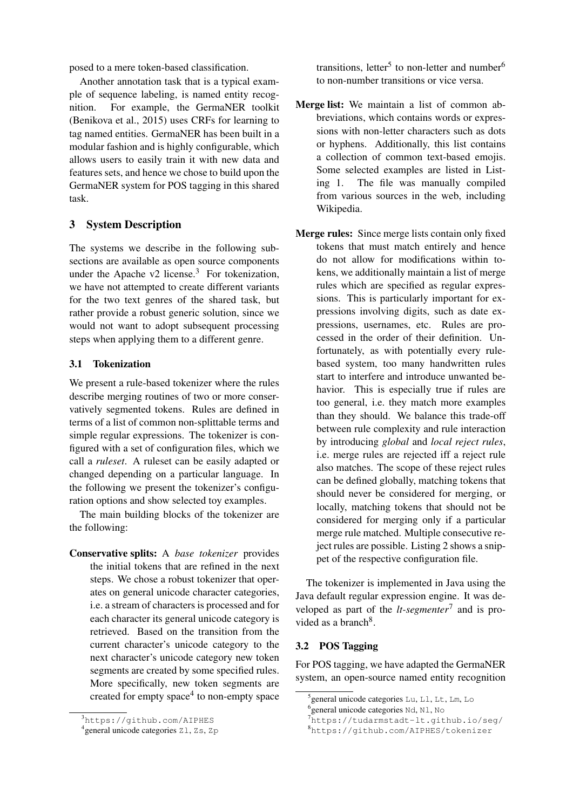posed to a mere token-based classification.

Another annotation task that is a typical example of sequence labeling, is named entity recognition. For example, the GermaNER toolkit (Benikova et al., 2015) uses CRFs for learning to tag named entities. GermaNER has been built in a modular fashion and is highly configurable, which allows users to easily train it with new data and features sets, and hence we chose to build upon the GermaNER system for POS tagging in this shared task.

# 3 System Description

The systems we describe in the following subsections are available as open source components under the Apache v2 license. $3$  For tokenization, we have not attempted to create different variants for the two text genres of the shared task, but rather provide a robust generic solution, since we would not want to adopt subsequent processing steps when applying them to a different genre.

# 3.1 Tokenization

We present a rule-based tokenizer where the rules describe merging routines of two or more conservatively segmented tokens. Rules are defined in terms of a list of common non-splittable terms and simple regular expressions. The tokenizer is configured with a set of configuration files, which we call a *ruleset*. A ruleset can be easily adapted or changed depending on a particular language. In the following we present the tokenizer's configuration options and show selected toy examples.

The main building blocks of the tokenizer are the following:

Conservative splits: A *base tokenizer* provides the initial tokens that are refined in the next steps. We chose a robust tokenizer that operates on general unicode character categories, i.e. a stream of characters is processed and for each character its general unicode category is retrieved. Based on the transition from the current character's unicode category to the next character's unicode category new token segments are created by some specified rules. More specifically, new token segments are created for empty space<sup>4</sup> to non-empty space

transitions, letter<sup>5</sup> to non-letter and number<sup>6</sup> to non-number transitions or vice versa.

- Merge list: We maintain a list of common abbreviations, which contains words or expressions with non-letter characters such as dots or hyphens. Additionally, this list contains a collection of common text-based emojis. Some selected examples are listed in Listing 1. The file was manually compiled from various sources in the web, including Wikipedia.
- Merge rules: Since merge lists contain only fixed tokens that must match entirely and hence do not allow for modifications within tokens, we additionally maintain a list of merge rules which are specified as regular expressions. This is particularly important for expressions involving digits, such as date expressions, usernames, etc. Rules are processed in the order of their definition. Unfortunately, as with potentially every rulebased system, too many handwritten rules start to interfere and introduce unwanted behavior. This is especially true if rules are too general, i.e. they match more examples than they should. We balance this trade-off between rule complexity and rule interaction by introducing *global* and *local reject rules*, i.e. merge rules are rejected iff a reject rule also matches. The scope of these reject rules can be defined globally, matching tokens that should never be considered for merging, or locally, matching tokens that should not be considered for merging only if a particular merge rule matched. Multiple consecutive reject rules are possible. Listing 2 shows a snippet of the respective configuration file.

The tokenizer is implemented in Java using the Java default regular expression engine. It was developed as part of the *lt-segmenter*<sup>7</sup> and is provided as a branch<sup>8</sup>.

# 3.2 POS Tagging

For POS tagging, we have adapted the GermaNER system, an open-source named entity recognition

<sup>3</sup>https://github.com/AIPHES

<sup>4</sup> general unicode categories Zl, Zs, Zp

<sup>5</sup> general unicode categories Lu, Ll, Lt, Lm, Lo

<sup>&</sup>lt;sup>6</sup> general unicode categories Nd, N1, No

<sup>7</sup>https://tudarmstadt-lt.github.io/seg/

<sup>8</sup>https://github.com/AIPHES/tokenizer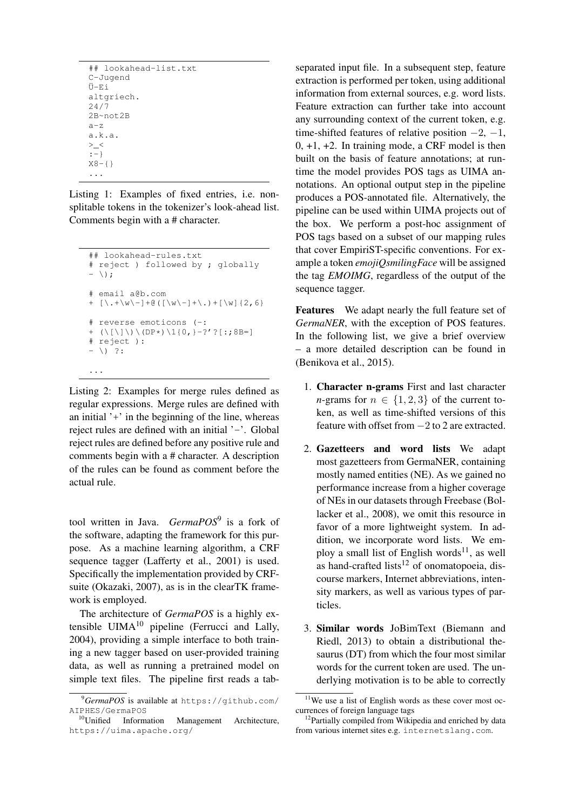```
## lookahead-list.txt
C-Jugend
Ü-Ei
altgriech.
24/7
2B~not2B
a-z
a.k.a.
> _<
:-}
X8 - \{ \}...
```
Listing 1: Examples of fixed entries, i.e. nonsplitable tokens in the tokenizer's look-ahead list. Comments begin with a # character.

```
## lookahead-rules.txt
# reject ) followed by ; globally
- \setminus;
# email a@b.com
+ [\.+\w\-]+@([\w\-]+\.)+[\w]{2,6}
# reverse emoticons (-:
+ (\langle [\ \rangle] \ \rangle \ \langle [DP*] \ \langle [0,]-?']?[:;8B=]
# reject ):
- \ \backslash) ?:
```
Listing 2: Examples for merge rules defined as regular expressions. Merge rules are defined with an initial  $'$ + $'$  in the beginning of the line, whereas reject rules are defined with an initial '-'. Global reject rules are defined before any positive rule and comments begin with a # character. A description of the rules can be found as comment before the actual rule.

...

tool written in Java. *GermaPOS*<sup>9</sup> is a fork of the software, adapting the framework for this purpose. As a machine learning algorithm, a CRF sequence tagger (Lafferty et al., 2001) is used. Specifically the implementation provided by CRFsuite (Okazaki, 2007), as is in the clearTK framework is employed.

The architecture of *GermaPOS* is a highly extensible  $UIMA<sup>10</sup>$  pipeline (Ferrucci and Lally, 2004), providing a simple interface to both training a new tagger based on user-provided training data, as well as running a pretrained model on simple text files. The pipeline first reads a tabseparated input file. In a subsequent step, feature extraction is performed per token, using additional information from external sources, e.g. word lists. Feature extraction can further take into account any surrounding context of the current token, e.g. time-shifted features of relative position  $-2$ ,  $-1$ ,  $0, +1, +2$ . In training mode, a CRF model is then built on the basis of feature annotations; at runtime the model provides POS tags as UIMA annotations. An optional output step in the pipeline produces a POS-annotated file. Alternatively, the pipeline can be used within UIMA projects out of the box. We perform a post-hoc assignment of POS tags based on a subset of our mapping rules that cover EmpiriST-specific conventions. For example a token *emojiQsmilingFace* will be assigned the tag *EMOIMG*, regardless of the output of the sequence tagger.

Features We adapt nearly the full feature set of *GermaNER*, with the exception of POS features. In the following list, we give a brief overview – a more detailed description can be found in (Benikova et al., 2015).

- 1. Character n-grams First and last character *n*-grams for  $n \in \{1, 2, 3\}$  of the current token, as well as time-shifted versions of this feature with offset from −2 to 2 are extracted.
- 2. Gazetteers and word lists We adapt most gazetteers from GermaNER, containing mostly named entities (NE). As we gained no performance increase from a higher coverage of NEs in our datasets through Freebase (Bollacker et al., 2008), we omit this resource in favor of a more lightweight system. In addition, we incorporate word lists. We employ a small list of English words<sup>11</sup>, as well as hand-crafted lists<sup>12</sup> of onomatopoeia, discourse markers, Internet abbreviations, intensity markers, as well as various types of particles.
- 3. Similar words JoBimText (Biemann and Riedl, 2013) to obtain a distributional thesaurus (DT) from which the four most similar words for the current token are used. The underlying motivation is to be able to correctly

<sup>9</sup>*GermaPOS* is available at https://github.com/ AIPHES/GermaPOS

<sup>10</sup>Unified Information Management Architecture, https://uima.apache.org/

<sup>&</sup>lt;sup>11</sup>We use a list of English words as these cover most occurrences of foreign language tags

<sup>&</sup>lt;sup>12</sup>Partially compiled from Wikipedia and enriched by data from various internet sites e.g. internetslang.com.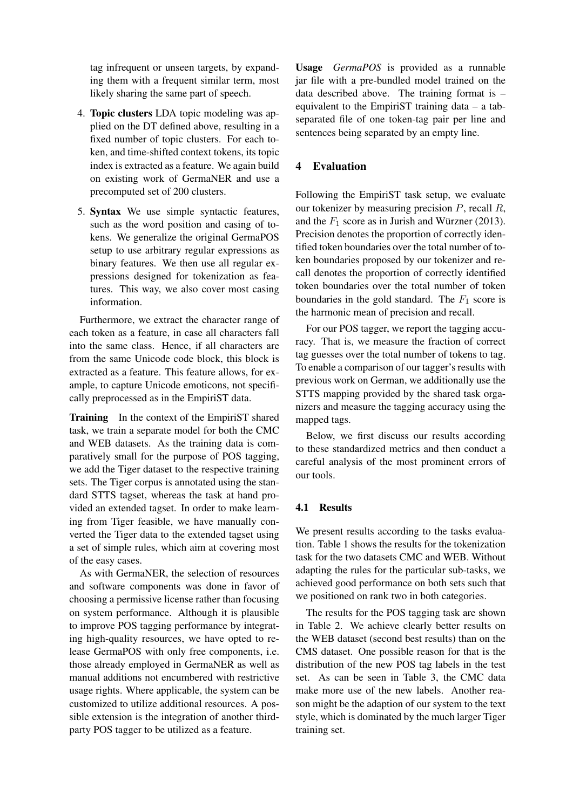tag infrequent or unseen targets, by expanding them with a frequent similar term, most likely sharing the same part of speech.

- 4. Topic clusters LDA topic modeling was applied on the DT defined above, resulting in a fixed number of topic clusters. For each token, and time-shifted context tokens, its topic index is extracted as a feature. We again build on existing work of GermaNER and use a precomputed set of 200 clusters.
- 5. Syntax We use simple syntactic features, such as the word position and casing of tokens. We generalize the original GermaPOS setup to use arbitrary regular expressions as binary features. We then use all regular expressions designed for tokenization as features. This way, we also cover most casing information.

Furthermore, we extract the character range of each token as a feature, in case all characters fall into the same class. Hence, if all characters are from the same Unicode code block, this block is extracted as a feature. This feature allows, for example, to capture Unicode emoticons, not specifically preprocessed as in the EmpiriST data.

Training In the context of the EmpiriST shared task, we train a separate model for both the CMC and WEB datasets. As the training data is comparatively small for the purpose of POS tagging, we add the Tiger dataset to the respective training sets. The Tiger corpus is annotated using the standard STTS tagset, whereas the task at hand provided an extended tagset. In order to make learning from Tiger feasible, we have manually converted the Tiger data to the extended tagset using a set of simple rules, which aim at covering most of the easy cases.

As with GermaNER, the selection of resources and software components was done in favor of choosing a permissive license rather than focusing on system performance. Although it is plausible to improve POS tagging performance by integrating high-quality resources, we have opted to release GermaPOS with only free components, i.e. those already employed in GermaNER as well as manual additions not encumbered with restrictive usage rights. Where applicable, the system can be customized to utilize additional resources. A possible extension is the integration of another thirdparty POS tagger to be utilized as a feature.

Usage *GermaPOS* is provided as a runnable jar file with a pre-bundled model trained on the data described above. The training format is – equivalent to the EmpiriST training data – a tabseparated file of one token-tag pair per line and sentences being separated by an empty line.

# 4 Evaluation

Following the EmpiriST task setup, we evaluate our tokenizer by measuring precision  $P$ , recall  $R$ , and the  $F_1$  score as in Jurish and Würzner (2013). Precision denotes the proportion of correctly identified token boundaries over the total number of token boundaries proposed by our tokenizer and recall denotes the proportion of correctly identified token boundaries over the total number of token boundaries in the gold standard. The  $F_1$  score is the harmonic mean of precision and recall.

For our POS tagger, we report the tagging accuracy. That is, we measure the fraction of correct tag guesses over the total number of tokens to tag. To enable a comparison of our tagger's results with previous work on German, we additionally use the STTS mapping provided by the shared task organizers and measure the tagging accuracy using the mapped tags.

Below, we first discuss our results according to these standardized metrics and then conduct a careful analysis of the most prominent errors of our tools.

### 4.1 Results

We present results according to the tasks evaluation. Table 1 shows the results for the tokenization task for the two datasets CMC and WEB. Without adapting the rules for the particular sub-tasks, we achieved good performance on both sets such that we positioned on rank two in both categories.

The results for the POS tagging task are shown in Table 2. We achieve clearly better results on the WEB dataset (second best results) than on the CMS dataset. One possible reason for that is the distribution of the new POS tag labels in the test set. As can be seen in Table 3, the CMC data make more use of the new labels. Another reason might be the adaption of our system to the text style, which is dominated by the much larger Tiger training set.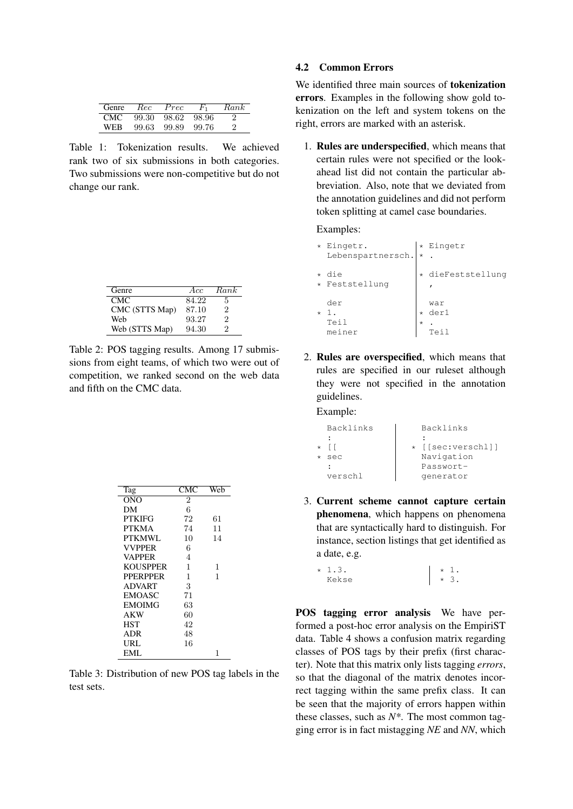| Genre      | Rec   | Prec  | $F_{1}$ | Rank |
|------------|-------|-------|---------|------|
| <b>CMC</b> | 99.30 | 98.62 | 98.96   | 2    |
| WFR        | 99.63 | 99.89 | 99.76   | 2    |

Table 1: Tokenization results. We achieved rank two of six submissions in both categories. Two submissions were non-competitive but do not change our rank.

| Genre          | Acc   | Rank |
|----------------|-------|------|
| CMC.           | 84.22 | 5    |
| CMC (STTS Map) | 87.10 | 2    |
| Web            | 93.27 | 2    |
| Web (STTS Map) | 94.30 | 2    |

Table 2: POS tagging results. Among 17 submissions from eight teams, of which two were out of competition, we ranked second on the web data and fifth on the CMC data.

| Tag             | CMC            | Web |
|-----------------|----------------|-----|
| ONO             | $\overline{2}$ |     |
| DМ              | 6              |     |
| PTKIFG          | 72             | 61  |
| <b>PTKMA</b>    | 74             | 11  |
| PTKMWL          | 10             | 14  |
| <b>VVPPER</b>   | 6              |     |
| <b>VAPPER</b>   | 4              |     |
| <b>KOUSPPER</b> | 1              | 1   |
| <b>PPERPPER</b> | 1              | 1   |
| <b>ADVART</b>   | 3              |     |
| <b>EMOASC</b>   | 71             |     |
| <b>EMOIMG</b>   | 63             |     |
| AKW             | 60             |     |
| <b>HST</b>      | 42             |     |
| ADR             | 48             |     |
| URL             | 16             |     |
| EML             |                | 1   |

Table 3: Distribution of new POS tag labels in the test sets.

## 4.2 Common Errors

We identified three main sources of tokenization errors. Examples in the following show gold tokenization on the left and system tokens on the right, errors are marked with an asterisk.

1. Rules are underspecified, which means that certain rules were not specified or the lookahead list did not contain the particular abbreviation. Also, note that we deviated from the annotation guidelines and did not perform token splitting at camel case boundaries.

Examples:

|         | * Eingetr.        |         | * Eingetr         |
|---------|-------------------|---------|-------------------|
|         | Lebenspartnersch. | ∣∗      |                   |
| $\star$ | die               |         | * dieFeststellung |
|         | * Feststellung    |         |                   |
|         | der               |         | war               |
| $\star$ | 1.                |         | der1              |
|         | Teil              | $\star$ |                   |
|         | meiner            |         | Tei               |

2. Rules are overspecified, which means that rules are specified in our ruleset although they were not specified in the annotation guidelines.

Example:

| Backlinks | Backlinks         |
|-----------|-------------------|
|           |                   |
|           | * [[sec:verschl]] |
| sec       | Navigation        |
|           | Passwort-         |
| verschl   | qenerator         |
|           |                   |

3. Current scheme cannot capture certain phenomena, which happens on phenomena that are syntactically hard to distinguish. For instance, section listings that get identified as a date, e.g.

 $* 1.3.$ Kekse \* 1. \* 3.

POS tagging error analysis We have performed a post-hoc error analysis on the EmpiriST data. Table 4 shows a confusion matrix regarding classes of POS tags by their prefix (first character). Note that this matrix only lists tagging *errors*, so that the diagonal of the matrix denotes incorrect tagging within the same prefix class. It can be seen that the majority of errors happen within these classes, such as *N\**. The most common tagging error is in fact mistagging *NE* and *NN*, which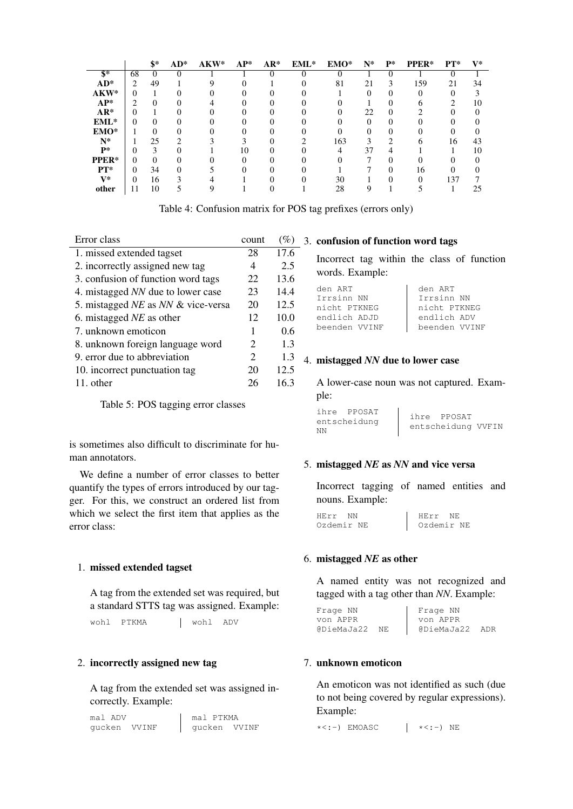|                           |    | \$*      | $AD^*$            | $AKW*$ | $AP^*$ | $AR*$ | $EML^*$ | EMO* | $N^*$ | $P^*$    | PPER* | $PT^*$ | $\mathbf{V}^*$ |
|---------------------------|----|----------|-------------------|--------|--------|-------|---------|------|-------|----------|-------|--------|----------------|
| $\overline{\mathbf{s}}$ * | 68 | $\Omega$ |                   |        |        |       |         |      |       |          |       |        |                |
| $AD^*$                    | ◠  | 49       |                   | Q      |        |       |         | 81   | 21    | 3        | 159   | 21     | 34             |
| AKW*                      | 0  |          | 0                 |        |        |       |         |      |       | $\theta$ | 0     |        |                |
| $AP^*$                    | ∍  | $\theta$ |                   |        |        |       |         |      |       |          |       |        | 10             |
| $AR*$                     |    |          |                   |        |        |       |         |      | 22    |          |       |        |                |
| $EML*$                    | 0  | $\theta$ | $\mathbf{\Omega}$ |        |        |       |         |      |       | 0        |       |        |                |
| EMO*                      |    |          |                   |        |        |       |         |      |       |          |       |        |                |
| $N^*$                     |    | 25       |                   |        |        |       |         | 163  |       |          | n     | 16     | 43             |
| $P*$                      | 0  | 3        |                   |        | 10     |       |         |      | 37    | 4        |       |        | 10             |
| PPER*                     | 0  | 0        |                   |        |        |       |         |      |       |          |       |        |                |
| $PT^*$                    | 0  | 34       | 0                 |        |        |       |         |      |       | 0        | 16    |        |                |
| $V^*$                     | 0  | 16       |                   |        |        |       |         | 30   |       |          |       | 137    |                |
| other                     |    | 10       |                   |        |        |       |         | 28   |       |          |       |        | 25             |

Table 4: Confusion matrix for POS tag prefixes (errors only)

| Error class                        | count | $(\%)$ |
|------------------------------------|-------|--------|
| 1. missed extended tagset          | 28    | 17.6   |
| 2. incorrectly assigned new tag    | 4     | 2.5    |
| 3. confusion of function word tags | 22    | 13.6   |
| 4. mistagged NN due to lower case  | 23    | 14.4   |
| 5. mistagged NE as NN & vice-versa | 20    | 12.5   |
| 6. mistagged $NE$ as other         | 12    | 10.0   |
| 7. unknown emoticon                | 1     | 0.6    |
| 8. unknown foreign language word   | 2     | 1.3    |
| 9. error due to abbreviation       | 2     | 1.3    |
| 10. incorrect punctuation tag      | 20    | 12.5   |
| 11. other                          | 26    | 16.3   |
|                                    |       |        |

Table 5: POS tagging error classes

is sometimes also difficult to discriminate for human annotators.

We define a number of error classes to better quantify the types of errors introduced by our tagger. For this, we construct an ordered list from which we select the first item that applies as the error class:

# 1. missed extended tagset

A tag from the extended set was required, but a standard STTS tag was assigned. Example:

wohl PTKMA | wohl ADV

# 2. incorrectly assigned new tag

A tag from the extended set was assigned incorrectly. Example:

mal ADV gucken VVINF mal PTKMA gucken VVINF 3. confusion of function word tags

Incorrect tag within the class of function words. Example:

| den ART       | den ART       |
|---------------|---------------|
| Irrsinn NN    | Irrsinn NN    |
| nicht PTKNEG  | nicht PTKNEG  |
| endlich ADJD  | endlich ADV   |
| beenden VVINF | beenden VVINF |

### 4. mistagged *NN* due to lower case

A lower-case noun was not captured. Example:

|    | ihre PPOSAT  | ihre PPOSAT        |  |
|----|--------------|--------------------|--|
|    | entscheidung | entscheidung VVFIN |  |
| ΝN |              |                    |  |

### 5. mistagged *NE* as *NN* and vice versa

Incorrect tagging of named entities and nouns. Example:

| HErr       | HErr NE    |  |
|------------|------------|--|
| Ozdemir NE | Ozdemir NE |  |

#### 6. mistagged *NE* as other

A named entity was not recognized and tagged with a tag other than *NN*. Example:

| Frage NN   |     | Frage NN   |     |
|------------|-----|------------|-----|
| von APPR   |     | von APPR   |     |
| @DieMaJa22 | NF. | @DieMaJa22 | ADR |

### 7. unknown emoticon

An emoticon was not identified as such (due to not being covered by regular expressions). Example:

 $\star$ <:-) EMOASC  $\qquad$   $\mid$   $\star$ <:-) NE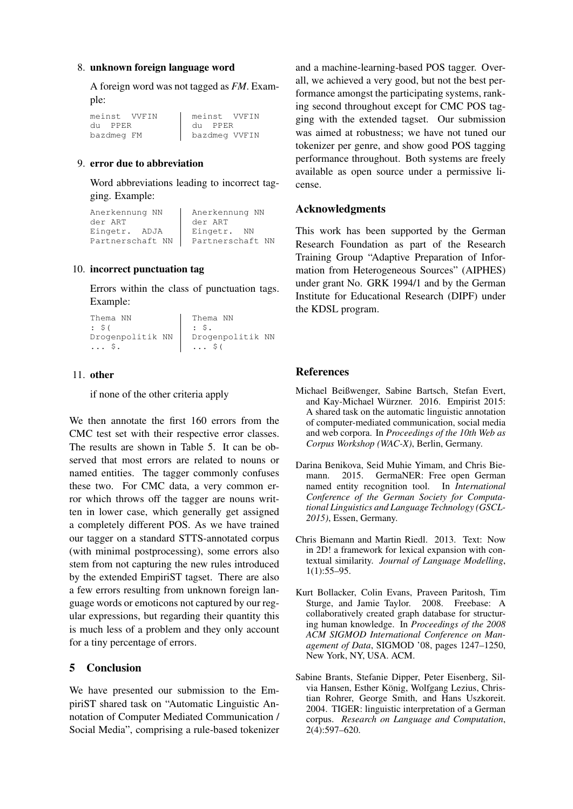### 8. unknown foreign language word

A foreign word was not tagged as *FM*. Example:

meinst VVFIN du PPER bazdmeg FM meinst VVFIN du PPER bazdmeg VVFIN

# 9. error due to abbreviation

Word abbreviations leading to incorrect tagging. Example:

| Anerkennung NN   | Anerkennung NN   |
|------------------|------------------|
| der ART          | der ART          |
| Eingetr. ADJA    | Eingetr.<br>NN   |
| Partnerschaft NN | Partnerschaft NN |

### 10. incorrect punctuation tag

Errors within the class of punctuation tags. Example:

```
Thema NN
: $(
Drogenpolitik NN
... $.
                   Thema NN
                   : $.
                   Drogenpolitik NN
                   ... $(
```
#### 11. other

if none of the other criteria apply

We then annotate the first 160 errors from the CMC test set with their respective error classes. The results are shown in Table 5. It can be observed that most errors are related to nouns or named entities. The tagger commonly confuses these two. For CMC data, a very common error which throws off the tagger are nouns written in lower case, which generally get assigned a completely different POS. As we have trained our tagger on a standard STTS-annotated corpus (with minimal postprocessing), some errors also stem from not capturing the new rules introduced by the extended EmpiriST tagset. There are also a few errors resulting from unknown foreign language words or emoticons not captured by our regular expressions, but regarding their quantity this is much less of a problem and they only account for a tiny percentage of errors.

# 5 Conclusion

We have presented our submission to the EmpiriST shared task on "Automatic Linguistic Annotation of Computer Mediated Communication / Social Media", comprising a rule-based tokenizer

and a machine-learning-based POS tagger. Overall, we achieved a very good, but not the best performance amongst the participating systems, ranking second throughout except for CMC POS tagging with the extended tagset. Our submission was aimed at robustness; we have not tuned our tokenizer per genre, and show good POS tagging performance throughout. Both systems are freely available as open source under a permissive license.

### Acknowledgments

This work has been supported by the German Research Foundation as part of the Research Training Group "Adaptive Preparation of Information from Heterogeneous Sources" (AIPHES) under grant No. GRK 1994/1 and by the German Institute for Educational Research (DIPF) under the KDSL program.

### References

- Michael Beißwenger, Sabine Bartsch, Stefan Evert, and Kay-Michael Würzner. 2016. Empirist 2015: A shared task on the automatic linguistic annotation of computer-mediated communication, social media and web corpora. In *Proceedings of the 10th Web as Corpus Workshop (WAC-X)*, Berlin, Germany.
- Darina Benikova, Seid Muhie Yimam, and Chris Biemann. 2015. GermaNER: Free open German named entity recognition tool. In *International Conference of the German Society for Computational Linguistics and Language Technology (GSCL-2015)*, Essen, Germany.
- Chris Biemann and Martin Riedl. 2013. Text: Now in 2D! a framework for lexical expansion with contextual similarity. *Journal of Language Modelling*, 1(1):55–95.
- Kurt Bollacker, Colin Evans, Praveen Paritosh, Tim Sturge, and Jamie Taylor. 2008. Freebase: A collaboratively created graph database for structuring human knowledge. In *Proceedings of the 2008 ACM SIGMOD International Conference on Management of Data*, SIGMOD '08, pages 1247–1250, New York, NY, USA. ACM.
- Sabine Brants, Stefanie Dipper, Peter Eisenberg, Silvia Hansen, Esther König, Wolfgang Lezius, Christian Rohrer, George Smith, and Hans Uszkoreit. 2004. TIGER: linguistic interpretation of a German corpus. *Research on Language and Computation*, 2(4):597–620.